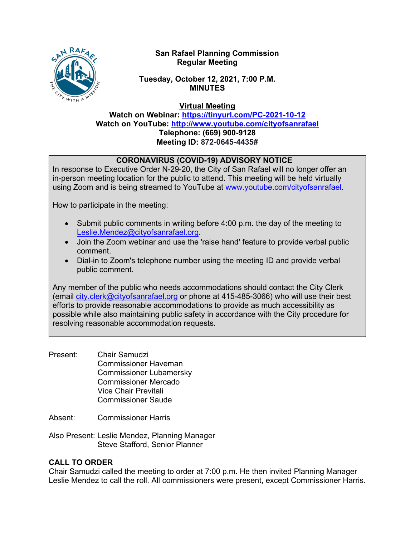

## **San Rafael Planning Commission Regular Meeting**

**Tuesday, October 12, 2021, 7:00 P.M. MINUTES**

**Virtual Meeting**

**Watch on Webinar: <https://tinyurl.com/PC-2021-10-12> Watch on YouTube: <http://www.youtube.com/cityofsanrafael> Telephone: (669) 900-9128 Meeting ID: 872-0645-4435#**

# **CORONAVIRUS (COVID-19) ADVISORY NOTICE**

In response to Executive Order N-29-20, the City of San Rafael will no longer offer an in-person meeting location for the public to attend. This meeting will be held virtually using Zoom and is being streamed to YouTube at [www.youtube.com/cityofsanrafael.](http://www.youtube.com/cityofsanrafael)

How to participate in the meeting:

- Submit public comments in writing before 4:00 p.m. the day of the meeting to [Leslie.Mendez@cityofsanrafael.org.](mailto:Leslie.Mendez@cityofsanrafael.org)
- Join the Zoom webinar and use the 'raise hand' feature to provide verbal public comment.
- Dial-in to Zoom's telephone number using the meeting ID and provide verbal public comment.

Any member of the public who needs accommodations should contact the City Clerk (email [city.clerk@cityofsanrafael.org](mailto:city.clerk@cityofsanrafael.org) or phone at 415-485-3066) who will use their best efforts to provide reasonable accommodations to provide as much accessibility as possible while also maintaining public safety in accordance with the City procedure for resolving reasonable accommodation requests.

- Present: Chair Samudzi Commissioner Haveman Commissioner Lubamersky Commissioner Mercado Vice Chair Previtali Commissioner Saude
- Absent: Commissioner Harris
- Also Present: Leslie Mendez, Planning Manager Steve Stafford, Senior Planner

# **CALL TO ORDER**

Chair Samudzi called the meeting to order at 7:00 p.m. He then invited Planning Manager Leslie Mendez to call the roll. All commissioners were present, except Commissioner Harris.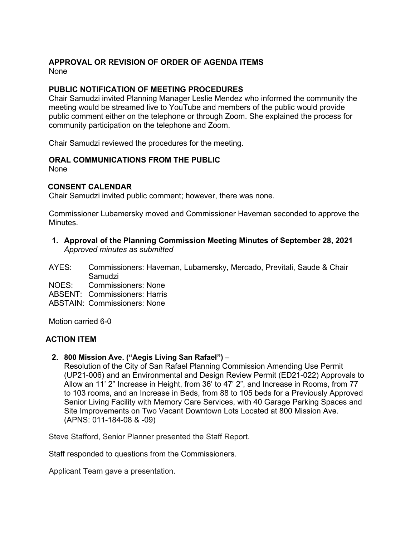### **APPROVAL OR REVISION OF ORDER OF AGENDA ITEMS**

None

#### **PUBLIC NOTIFICATION OF MEETING PROCEDURES**

Chair Samudzi invited Planning Manager Leslie Mendez who informed the community the meeting would be streamed live to YouTube and members of the public would provide public comment either on the telephone or through Zoom. She explained the process for community participation on the telephone and Zoom.

Chair Samudzi reviewed the procedures for the meeting.

### **ORAL COMMUNICATIONS FROM THE PUBLIC**

None

#### **CONSENT CALENDAR**

Chair Samudzi invited public comment; however, there was none.

Commissioner Lubamersky moved and Commissioner Haveman seconded to approve the Minutes.

**1. Approval of the Planning Commission Meeting Minutes of September 28, 2021** *Approved minutes as submitted*

AYES: Commissioners: Haveman, Lubamersky, Mercado, Previtali, Saude & Chair Samudzi

NOES: Commissioners: None

ABSENT: Commissioners: Harris

ABSTAIN: Commissioners: None

Motion carried 6-0

#### **ACTION ITEM**

**2. 800 Mission Ave. ("Aegis Living San Rafael")** –

Resolution of the City of San Rafael Planning Commission Amending Use Permit (UP21-006) and an Environmental and Design Review Permit (ED21-022) Approvals to Allow an 11' 2" Increase in Height, from 36' to 47' 2", and Increase in Rooms, from 77 to 103 rooms, and an Increase in Beds, from 88 to 105 beds for a Previously Approved Senior Living Facility with Memory Care Services, with 40 Garage Parking Spaces and Site Improvements on Two Vacant Downtown Lots Located at 800 Mission Ave. (APNS: 011-184-08 & -09)

Steve Stafford, Senior Planner presented the Staff Report.

Staff responded to questions from the Commissioners.

Applicant Team gave a presentation.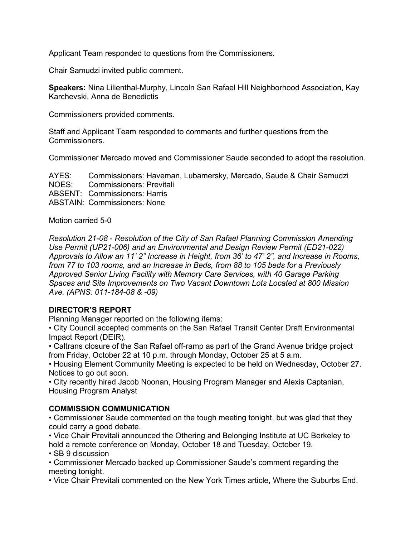Applicant Team responded to questions from the Commissioners.

Chair Samudzi invited public comment.

**Speakers:** Nina Lilienthal-Murphy, Lincoln San Rafael Hill Neighborhood Association, Kay Karchevski, Anna de Benedictis

Commissioners provided comments.

Staff and Applicant Team responded to comments and further questions from the Commissioners.

Commissioner Mercado moved and Commissioner Saude seconded to adopt the resolution.

AYES: Commissioners: Haveman, Lubamersky, Mercado, Saude & Chair Samudzi NOES: Commissioners: Previtali ABSENT: Commissioners: Harris ABSTAIN: Commissioners: None

Motion carried 5-0

*Resolution 21-08 - Resolution of the City of San Rafael Planning Commission Amending Use Permit (UP21-006) and an Environmental and Design Review Permit (ED21-022) Approvals to Allow an 11' 2" Increase in Height, from 36' to 47' 2", and Increase in Rooms, from 77 to 103 rooms, and an Increase in Beds, from 88 to 105 beds for a Previously Approved Senior Living Facility with Memory Care Services, with 40 Garage Parking Spaces and Site Improvements on Two Vacant Downtown Lots Located at 800 Mission Ave. (APNS: 011-184-08 & -09)*

### **DIRECTOR'S REPORT**

Planning Manager reported on the following items:

• City Council accepted comments on the San Rafael Transit Center Draft Environmental Impact Report (DEIR).

• Caltrans closure of the San Rafael off-ramp as part of the Grand Avenue bridge project from Friday, October 22 at 10 p.m. through Monday, October 25 at 5 a.m.

• Housing Element Community Meeting is expected to be held on Wednesday, October 27. Notices to go out soon.

• City recently hired Jacob Noonan, Housing Program Manager and Alexis Captanian, Housing Program Analyst

### **COMMISSION COMMUNICATION**

• Commissioner Saude commented on the tough meeting tonight, but was glad that they could carry a good debate.

• Vice Chair Previtali announced the Othering and Belonging Institute at UC Berkeley to hold a remote conference on Monday, October 18 and Tuesday, October 19.

• SB 9 discussion

• Commissioner Mercado backed up Commissioner Saude's comment regarding the meeting tonight.

• Vice Chair Previtali commented on the New York Times article, Where the Suburbs End.